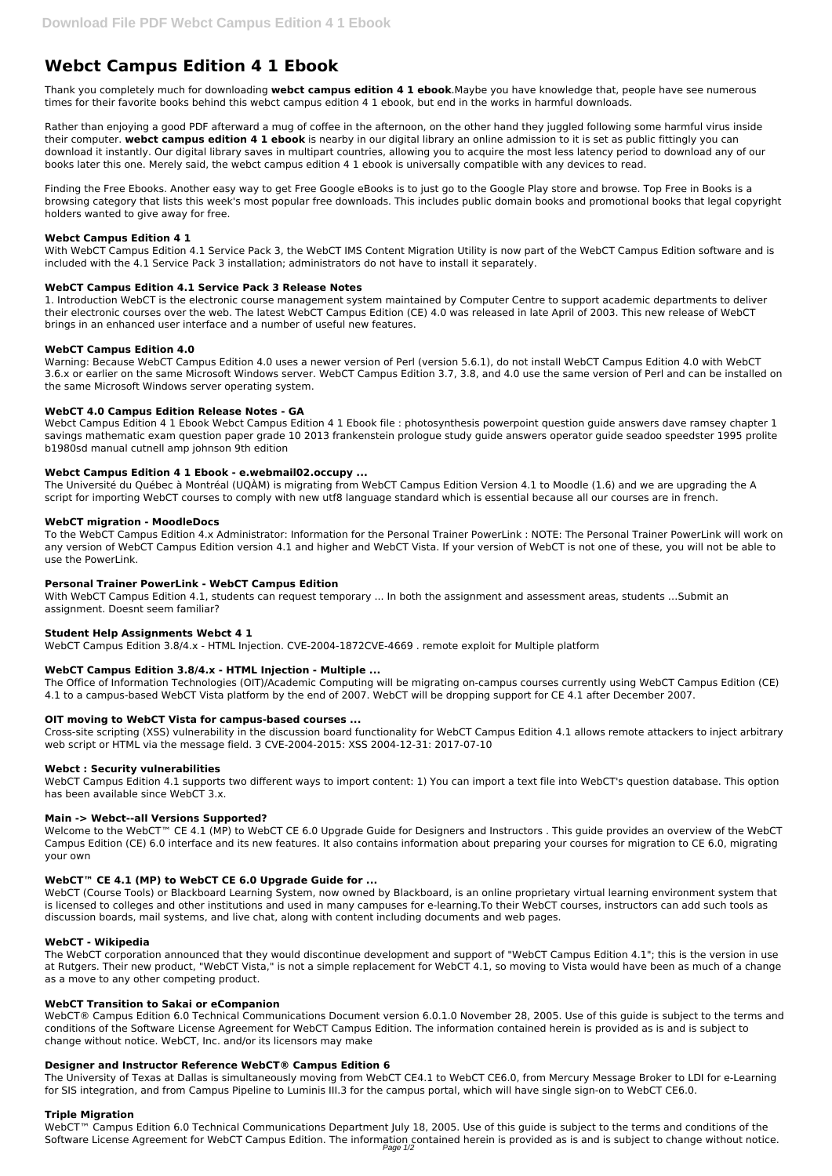# **Webct Campus Edition 4 1 Ebook**

Thank you completely much for downloading **webct campus edition 4 1 ebook**.Maybe you have knowledge that, people have see numerous times for their favorite books behind this webct campus edition 4 1 ebook, but end in the works in harmful downloads.

Rather than enjoying a good PDF afterward a mug of coffee in the afternoon, on the other hand they juggled following some harmful virus inside their computer. **webct campus edition 4 1 ebook** is nearby in our digital library an online admission to it is set as public fittingly you can download it instantly. Our digital library saves in multipart countries, allowing you to acquire the most less latency period to download any of our books later this one. Merely said, the webct campus edition 4 1 ebook is universally compatible with any devices to read.

Finding the Free Ebooks. Another easy way to get Free Google eBooks is to just go to the Google Play store and browse. Top Free in Books is a browsing category that lists this week's most popular free downloads. This includes public domain books and promotional books that legal copyright holders wanted to give away for free.

# **Webct Campus Edition 4 1**

With WebCT Campus Edition 4.1 Service Pack 3, the WebCT IMS Content Migration Utility is now part of the WebCT Campus Edition software and is included with the 4.1 Service Pack 3 installation; administrators do not have to install it separately.

## **WebCT Campus Edition 4.1 Service Pack 3 Release Notes**

1. Introduction WebCT is the electronic course management system maintained by Computer Centre to support academic departments to deliver their electronic courses over the web. The latest WebCT Campus Edition (CE) 4.0 was released in late April of 2003. This new release of WebCT brings in an enhanced user interface and a number of useful new features.

With WebCT Campus Edition 4.1, students can request temporary ... In both the assignment and assessment areas, students ... Submit an assignment. Doesnt seem familiar?

## **WebCT Campus Edition 4.0**

Warning: Because WebCT Campus Edition 4.0 uses a newer version of Perl (version 5.6.1), do not install WebCT Campus Edition 4.0 with WebCT 3.6.x or earlier on the same Microsoft Windows server. WebCT Campus Edition 3.7, 3.8, and 4.0 use the same version of Perl and can be installed on the same Microsoft Windows server operating system.

## **WebCT 4.0 Campus Edition Release Notes - GA**

Welcome to the WebCT™ CE 4.1 (MP) to WebCT CE 6.0 Upgrade Guide for Designers and Instructors . This guide provides an overview of the WebCT Campus Edition (CE) 6.0 interface and its new features. It also contains information about preparing your courses for migration to CE 6.0, migrating your own

Webct Campus Edition 4 1 Ebook Webct Campus Edition 4 1 Ebook file : photosynthesis powerpoint question guide answers dave ramsey chapter 1 savings mathematic exam question paper grade 10 2013 frankenstein prologue study guide answers operator guide seadoo speedster 1995 prolite b1980sd manual cutnell amp johnson 9th edition

#### **Webct Campus Edition 4 1 Ebook - e.webmail02.occupy ...**

The Université du Québec à Montréal (UQÀM) is migrating from WebCT Campus Edition Version 4.1 to Moodle (1.6) and we are upgrading the A script for importing WebCT courses to comply with new utf8 language standard which is essential because all our courses are in french.

### **WebCT migration - MoodleDocs**

To the WebCT Campus Edition 4.x Administrator: Information for the Personal Trainer PowerLink : NOTE: The Personal Trainer PowerLink will work on any version of WebCT Campus Edition version 4.1 and higher and WebCT Vista. If your version of WebCT is not one of these, you will not be able to use the PowerLink.

#### **Personal Trainer PowerLink - WebCT Campus Edition**

#### **Student Help Assignments Webct 4 1**

WebCT Campus Edition 3.8/4.x - HTML Injection. CVE-2004-1872CVE-4669 . remote exploit for Multiple platform

# **WebCT Campus Edition 3.8/4.x - HTML Injection - Multiple ...**

The Office of Information Technologies (OIT)/Academic Computing will be migrating on-campus courses currently using WebCT Campus Edition (CE) 4.1 to a campus-based WebCT Vista platform by the end of 2007. WebCT will be dropping support for CE 4.1 after December 2007.

#### **OIT moving to WebCT Vista for campus-based courses ...**

Cross-site scripting (XSS) vulnerability in the discussion board functionality for WebCT Campus Edition 4.1 allows remote attackers to inject arbitrary web script or HTML via the message field. 3 CVE-2004-2015: XSS 2004-12-31: 2017-07-10

#### **Webct : Security vulnerabilities**

WebCT Campus Edition 4.1 supports two different ways to import content: 1) You can import a text file into WebCT's question database. This option has been available since WebCT 3.x.

#### **Main -> Webct--all Versions Supported?**

### **WebCT™ CE 4.1 (MP) to WebCT CE 6.0 Upgrade Guide for ...**

WebCT (Course Tools) or Blackboard Learning System, now owned by Blackboard, is an online proprietary virtual learning environment system that is licensed to colleges and other institutions and used in many campuses for e-learning.To their WebCT courses, instructors can add such tools as discussion boards, mail systems, and live chat, along with content including documents and web pages.

# **WebCT - Wikipedia**

The WebCT corporation announced that they would discontinue development and support of "WebCT Campus Edition 4.1"; this is the version in use at Rutgers. Their new product, "WebCT Vista," is not a simple replacement for WebCT 4.1, so moving to Vista would have been as much of a change as a move to any other competing product.

#### **WebCT Transition to Sakai or eCompanion**

WebCT® Campus Edition 6.0 Technical Communications Document version 6.0.1.0 November 28, 2005. Use of this guide is subject to the terms and conditions of the Software License Agreement for WebCT Campus Edition. The information contained herein is provided as is and is subject to change without notice. WebCT, Inc. and/or its licensors may make

## **Designer and Instructor Reference WebCT® Campus Edition 6**

The University of Texas at Dallas is simultaneously moving from WebCT CE4.1 to WebCT CE6.0, from Mercury Message Broker to LDI for e-Learning for SIS integration, and from Campus Pipeline to Luminis III.3 for the campus portal, which will have single sign-on to WebCT CE6.0.

# **Triple Migration**

WebCT<sup>™</sup> Campus Edition 6.0 Technical Communications Department July 18, 2005. Use of this guide is subject to the terms and conditions of the Software License Agreement for WebCT Campus Edition. The information contained herein is provided as is and is subject to change without notice. Page 1/2